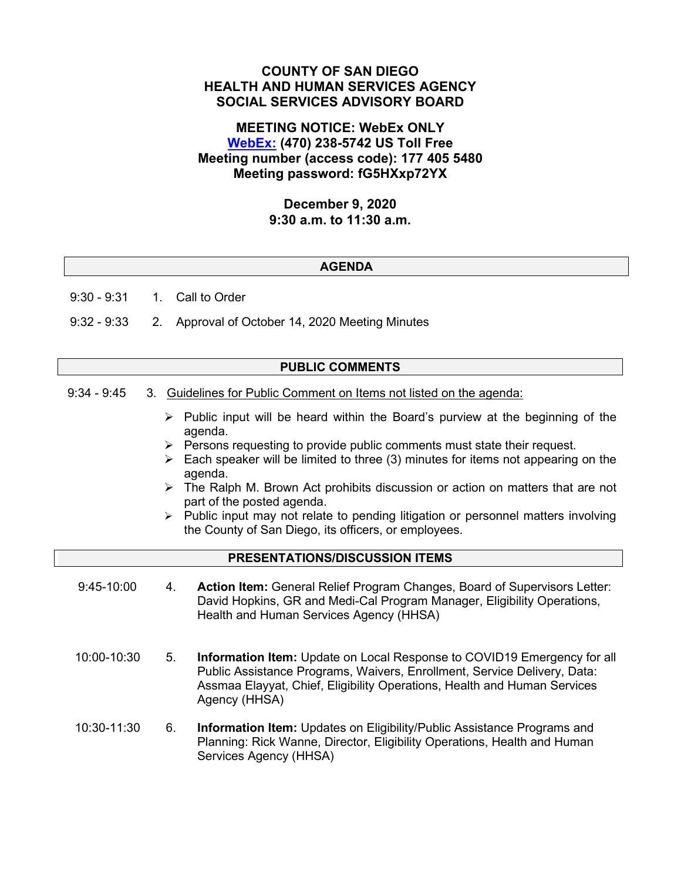# **COUNTY OF SAN DIEGO HEALTH AND HUMAN SERVICES AGENCY SOCIAL SERVICES ADVISORY BOARD**

# **MEETING NOTICE: WebEx ONLY [WebEx:](https://sdcountyca.webex.com/sdcountyca/j.php?MTID=m732d2a324b828541c15cb065b45a9a95) (470) 238-5742 US Toll Free Meeting number (access code): 177 405 5480 Meeting password: fG5HXxp72YX**

### **December 9, 2020 9:30 a.m. to 11:30 a.m.**

### **AGENDA**

9:30 - 9:31 1. Call to Order

9:32 - 9:33 2. Approval of October 14, 2020 Meeting Minutes

### **PUBLIC COMMENTS**

- 9:34 9:45 3. Guidelines for Public Comment on Items not listed on the agenda:
	- $\triangleright$  Public input will be heard within the Board's purview at the beginning of the agenda.
	- $\triangleright$  Persons requesting to provide public comments must state their request.
	- $\triangleright$  Each speaker will be limited to three (3) minutes for items not appearing on the agenda.
	- $\triangleright$  The Ralph M. Brown Act prohibits discussion or action on matters that are not part of the posted agenda.
	- $\triangleright$  Public input may not relate to pending litigation or personnel matters involving the County of San Diego, its officers, or employees.

# **PRESENTATIONS/DISCUSSION ITEMS**

- 9:45-10:00 4. **Action Item:** General Relief Program Changes, Board of Supervisors Letter: David Hopkins, GR and Medi-Cal Program Manager, Eligibility Operations, Health and Human Services Agency (HHSA)
- 10:00-10:30 5. **Information Item:** Update on Local Response to COVID19 Emergency for all Public Assistance Programs, Waivers, Enrollment, Service Delivery, Data: Assmaa Elayyat, Chief, Eligibility Operations, Health and Human Services Agency (HHSA)
- 10:30-11:30 6. **Information Item:** Updates on Eligibility/Public Assistance Programs and Planning: Rick Wanne, Director, Eligibility Operations, Health and Human Services Agency (HHSA)